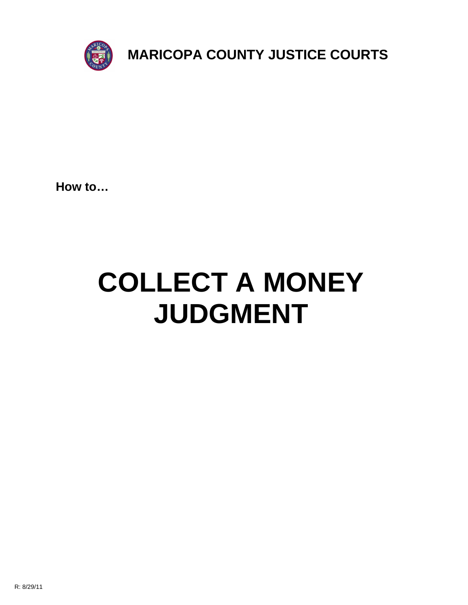

**How to…**

# **COLLECT A MONEY JUDGMENT**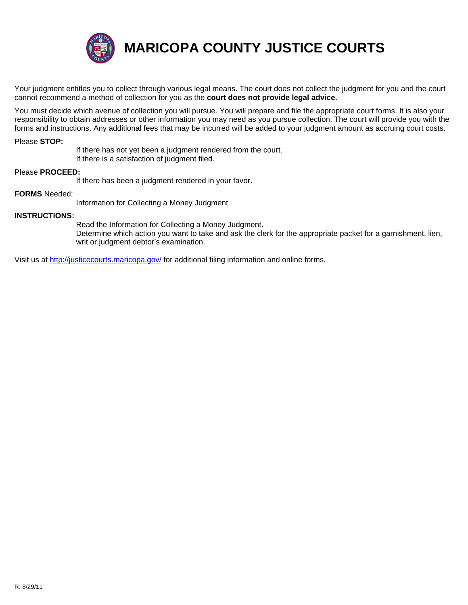

**MARICOPA COUNTY JUSTICE COURTS**

Your judgment entitles you to collect through various legal means. The court does not collect the judgment for you and the court cannot recommend a method of collection for you as the **court does not provide legal advice.**

You must decide which avenue of collection you will pursue. You will prepare and file the appropriate court forms. It is also your responsibility to obtain addresses or other information you may need as you pursue collection. The court will provide you with the forms and instructions. Any additional fees that may be incurred will be added to your judgment amount as accruing court costs.

#### Please **STOP:**

If there has not yet been a judgment rendered from the court.

If there is a satisfaction of judgment filed.

## Please **PROCEED:**

If there has been a judgment rendered in your favor.

### **FORMS** Needed:

[Information for Collecting a](http://justicecourts.maricopa.gov/) Money Judgment

#### **INSTRUCTIONS:**

Read the Information for Collecting a Money Judgment. Determine which action you want to take and ask the clerk for the appropriate packet for a garnishment, lien, writ or judgment debtor's examination.

Visit us at http://justicecourts.maricopa.gov/ for additional filing information and online forms.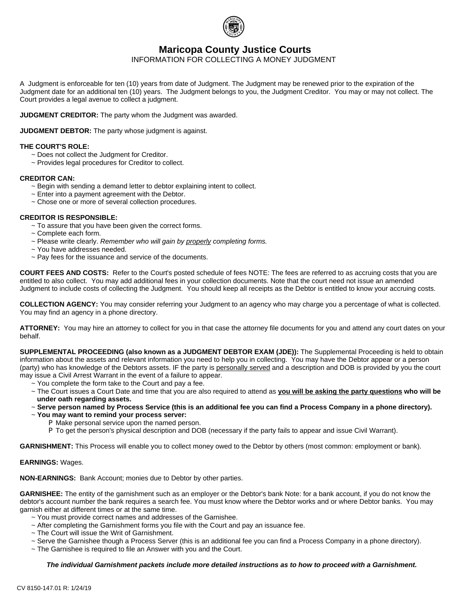

# **Maricopa County Justice Courts**

INFORMATION FOR COLLECTING A MONEY JUDGMENT

A Judgment is enforceable for ten (10) years from date of Judgment. The Judgment may be renewed prior to the expiration of the Judgment date for an additional ten (10) years. The Judgment belongs to you, the Judgment Creditor. You may or may not collect. The Court provides a legal avenue to collect a judgment.

**JUDGMENT CREDITOR:** The party whom the Judgment was awarded.

**JUDGMENT DEBTOR:** The party whose judgment is against.

#### **THE COURT'S ROLE:**

- ~ Does not collect the Judgment for Creditor.
- ~ Provides legal procedures for Creditor to collect.

#### **CREDITOR CAN:**

- ~ Begin with sending a demand letter to debtor explaining intent to collect.
- $\sim$  Enter into a payment agreement with the Debtor.
- ~ Chose one or more of several collection procedures.

#### **CREDITOR IS RESPONSIBLE:**

- $\sim$  To assure that you have been given the correct forms.
- ~ Complete each form.
- ~ Please write clearly. *Remember who will gain by properly completing forms.*
- ~ You have addresses needed.
- ~ Pay fees for the issuance and service of the documents.

**COURT FEES AND COSTS:** Refer to the Court's posted schedule of fees NOTE: The fees are referred to as accruing costs that you are entitled to also collect. You may add additional fees in your collection documents. Note that the court need not issue an amended Judgment to include costs of collecting the Judgment. You should keep all receipts as the Debtor is entitled to know your accruing costs.

**COLLECTION AGENCY:** You may consider referring your Judgment to an agency who may charge you a percentage of what is collected. You may find an agency in a phone directory.

**ATTORNEY:** You may hire an attorney to collect for you in that case the attorney file documents for you and attend any court dates on your behalf.

**SUPPLEMENTAL PROCEEDING (also known as a JUDGMENT DEBTOR EXAM (JDE)):** The Supplemental Proceeding is held to obtain information about the assets and relevant information you need to help you in collecting. You may have the Debtor appear or a person (party) who has knowledge of the Debtors assets. IF the party is personally served and a description and DOB is provided by you the court may issue a Civil Arrest Warrant in the event of a failure to appear.

- ~ You complete the form take to the Court and pay a fee.
- ~ The Court issues a Court Date and time that you are also required to attend as **you will be asking the party questions who will be under oath regarding assets.**
- ~ **Serve person named by Process Service (this is an additional fee you can find a Process Company in a phone directory).**
- ~ **You may want to remind your process server:**
	- P Make personal service upon the named person.
	- P To get the person's physical description and DOB (necessary if the party fails to appear and issue Civil Warrant).

**GARNISHMENT:** This Process will enable you to collect money owed to the Debtor by others (most common: employment or bank).

#### **EARNINGS:** Wages.

**NON-EARNINGS:** Bank Account; monies due to Debtor by other parties.

**GARNISHEE:** The entity of the garnishment such as an employer or the Debtor's bank Note: for a bank account, if you do not know the debtor's account number the bank requires a search fee. You must know where the Debtor works and or where Debtor banks. You may garnish either at different times or at the same time.

- ~ You must provide correct names and addresses of the Garnishee.
- ~ After completing the Garnishment forms you file with the Court and pay an issuance fee.
- ~ The Court will issue the Writ of Garnishment.
- ~ Serve the Garnishee though a Process Server (this is an additional fee you can find a Process Company in a phone directory).
- ~ The Garnishee is required to file an Answer with you and the Court.

#### *The individual Garnishment packets include more detailed instructions as to how to proceed with a Garnishment.*